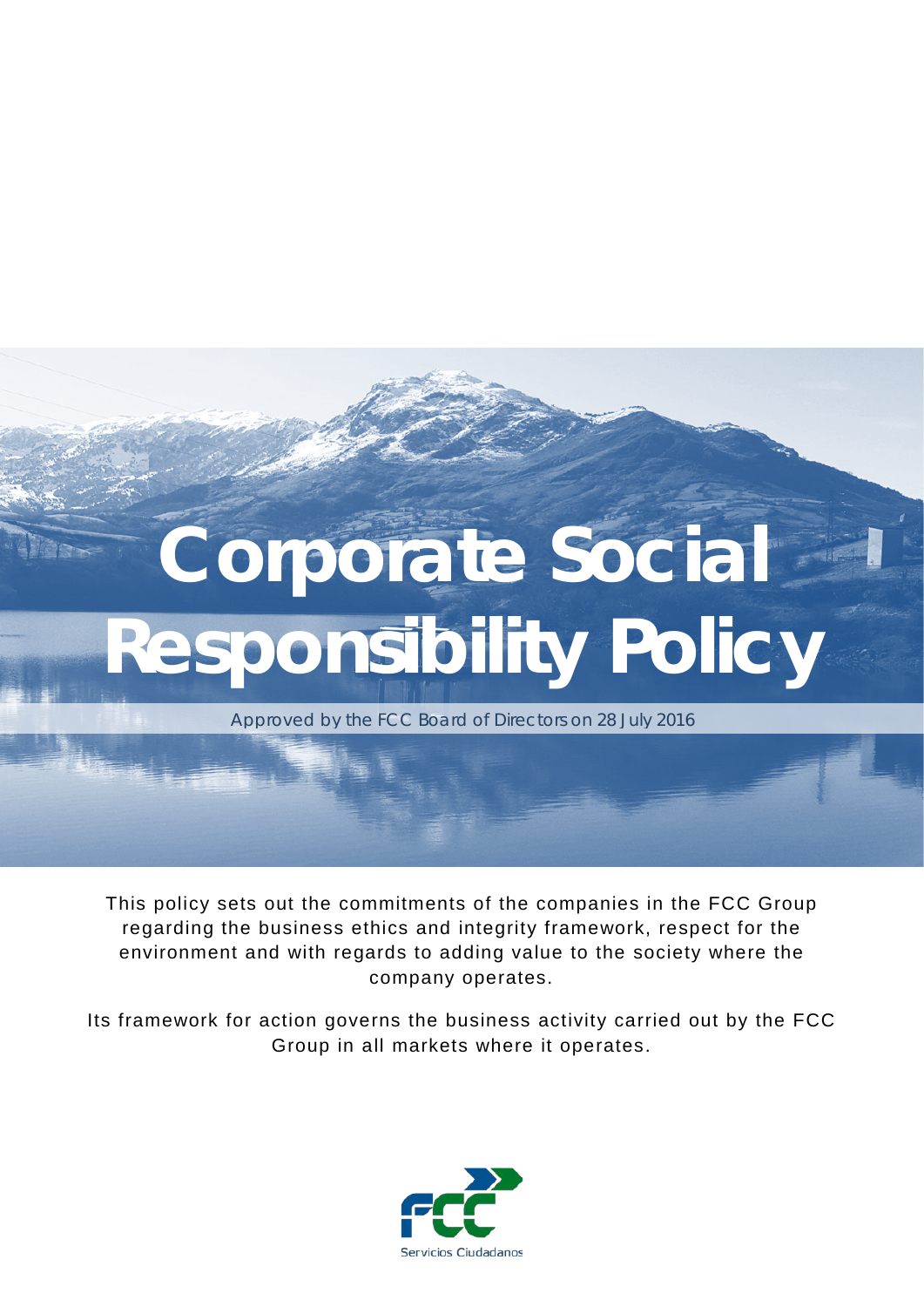# **Corporate Social Responsibility Policy**

Approved by the FCC Board of Directors on 28 July 2016

This policy sets out the commitments of the companies in the FCC Group regarding the business ethics and integrity framework, respect for the environment and with regards to adding value to the society where the company operates.

Its framework for action governs the business activity carried out by the FCC Group in all markets where it operates.

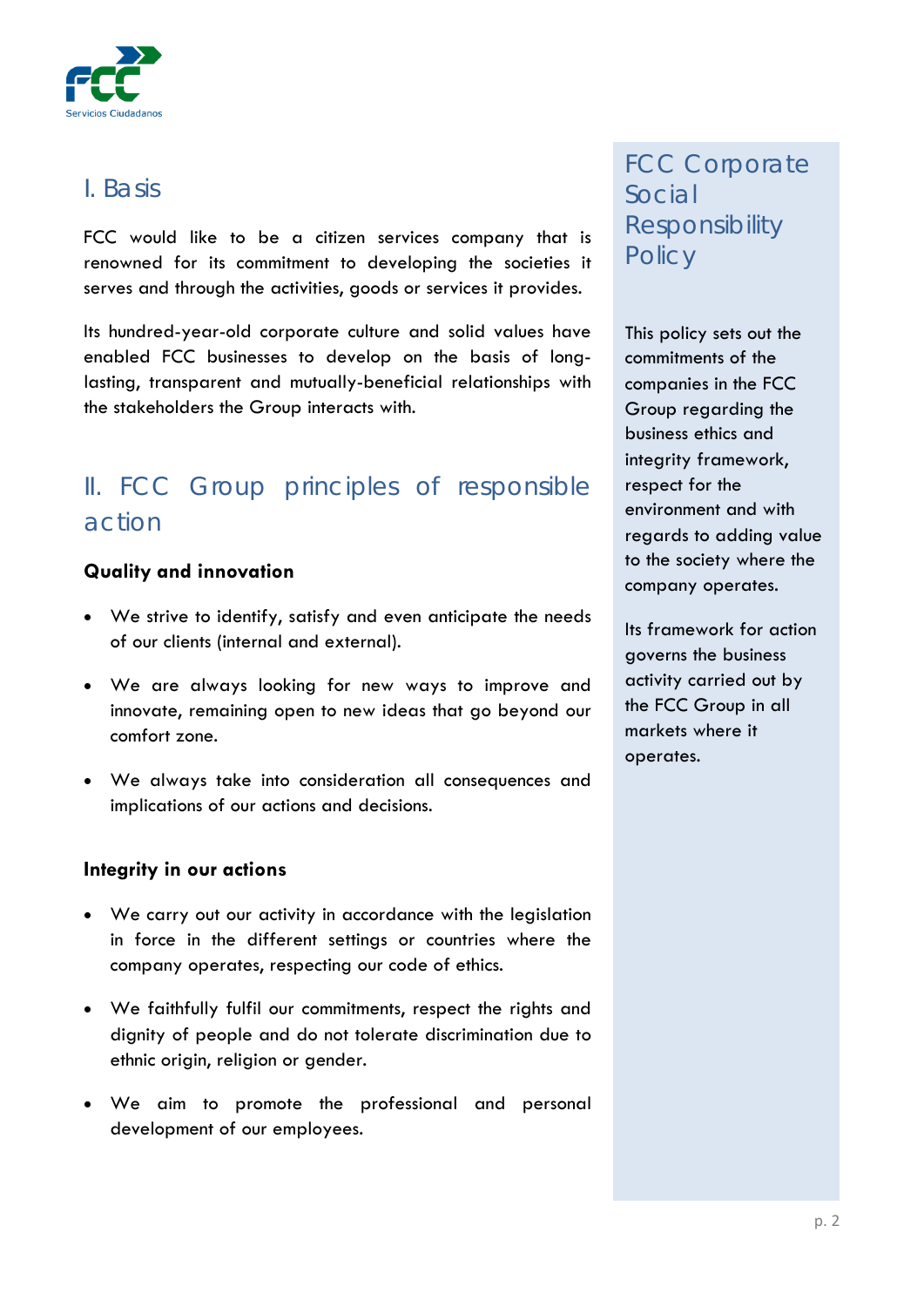

## *I. Basis*

FCC would like to be a citizen services company that is renowned for its commitment to developing the societies it serves and through the activities, goods or services it provides.

Its hundred-year-old corporate culture and solid values have enabled FCC businesses to develop on the basis of longlasting, transparent and mutually-beneficial relationships with the stakeholders the Group interacts with.

# *II. FCC Group principles of responsible action*

## **Quality and innovation**

- We strive to identify, satisfy and even anticipate the needs of our clients (internal and external).
- We are always looking for new ways to improve and innovate, remaining open to new ideas that go beyond our comfort zone.
- We always take into consideration all consequences and implications of our actions and decisions.

## **Integrity in our actions**

- We carry out our activity in accordance with the legislation in force in the different settings or countries where the company operates, respecting our code of ethics.
- We faithfully fulfil our commitments, respect the rights and dignity of people and do not tolerate discrimination due to ethnic origin, religion or gender.
- We aim to promote the professional and personal development of our employees.

# *FCC Corporate Social Responsibility Policy*

This policy sets out the commitments of the companies in the FCC Group regarding the business ethics and integrity framework, respect for the environment and with regards to adding value to the society where the company operates.

Its framework for action governs the business activity carried out by the FCC Group in all markets where it operates.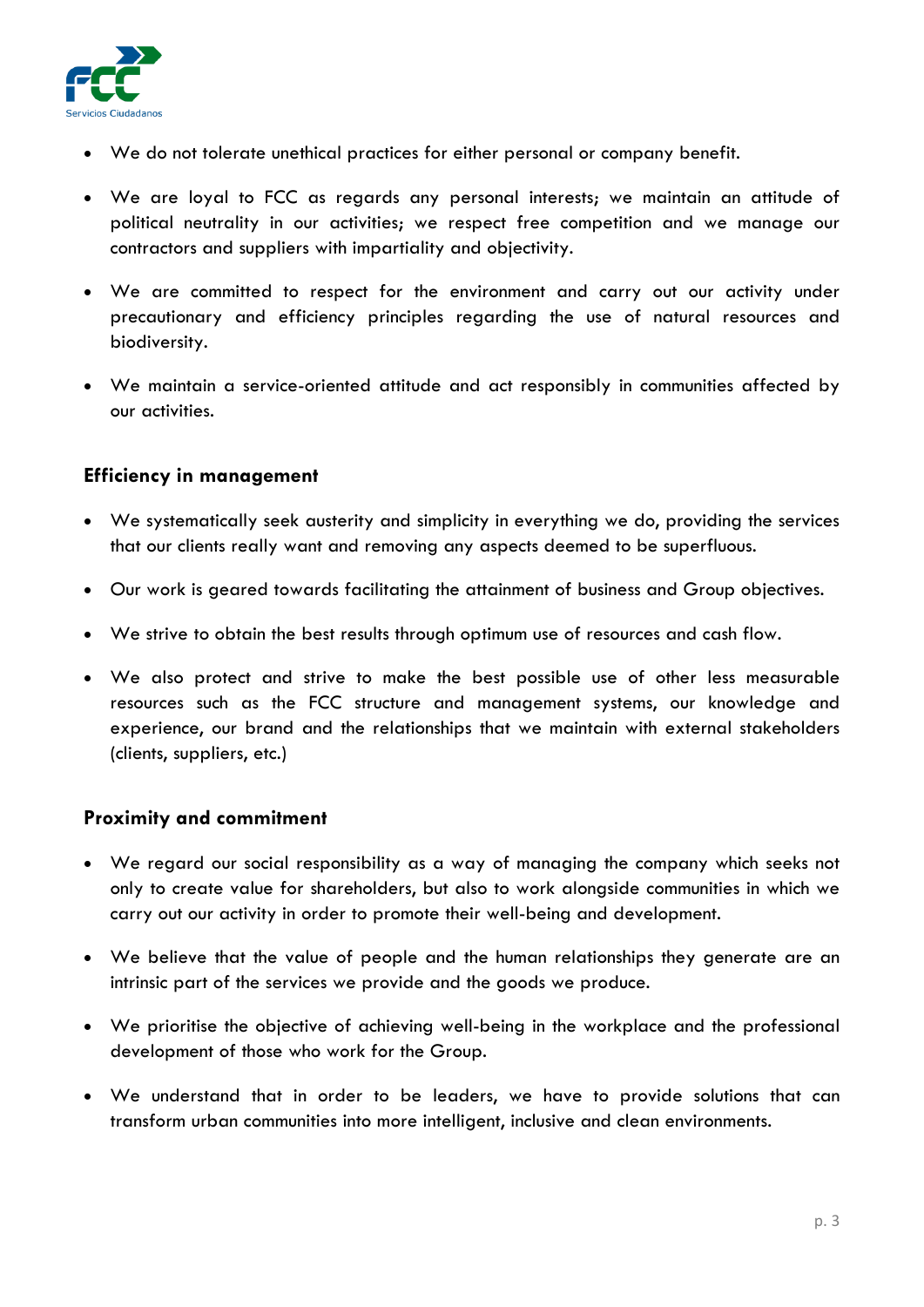

- We do not tolerate unethical practices for either personal or company benefit.
- We are loyal to FCC as regards any personal interests; we maintain an attitude of political neutrality in our activities; we respect free competition and we manage our contractors and suppliers with impartiality and objectivity.
- We are committed to respect for the environment and carry out our activity under precautionary and efficiency principles regarding the use of natural resources and biodiversity.
- We maintain a service-oriented attitude and act responsibly in communities affected by our activities.

#### **Efficiency in management**

- We systematically seek austerity and simplicity in everything we do, providing the services that our clients really want and removing any aspects deemed to be superfluous.
- Our work is geared towards facilitating the attainment of business and Group objectives.
- We strive to obtain the best results through optimum use of resources and cash flow.
- We also protect and strive to make the best possible use of other less measurable resources such as the FCC structure and management systems, our knowledge and experience, our brand and the relationships that we maintain with external stakeholders (clients, suppliers, etc.)

#### **Proximity and commitment**

- We regard our social responsibility as a way of managing the company which seeks not only to create value for shareholders, but also to work alongside communities in which we carry out our activity in order to promote their well-being and development.
- We believe that the value of people and the human relationships they generate are an intrinsic part of the services we provide and the goods we produce.
- We prioritise the objective of achieving well-being in the workplace and the professional development of those who work for the Group.
- We understand that in order to be leaders, we have to provide solutions that can transform urban communities into more intelligent, inclusive and clean environments.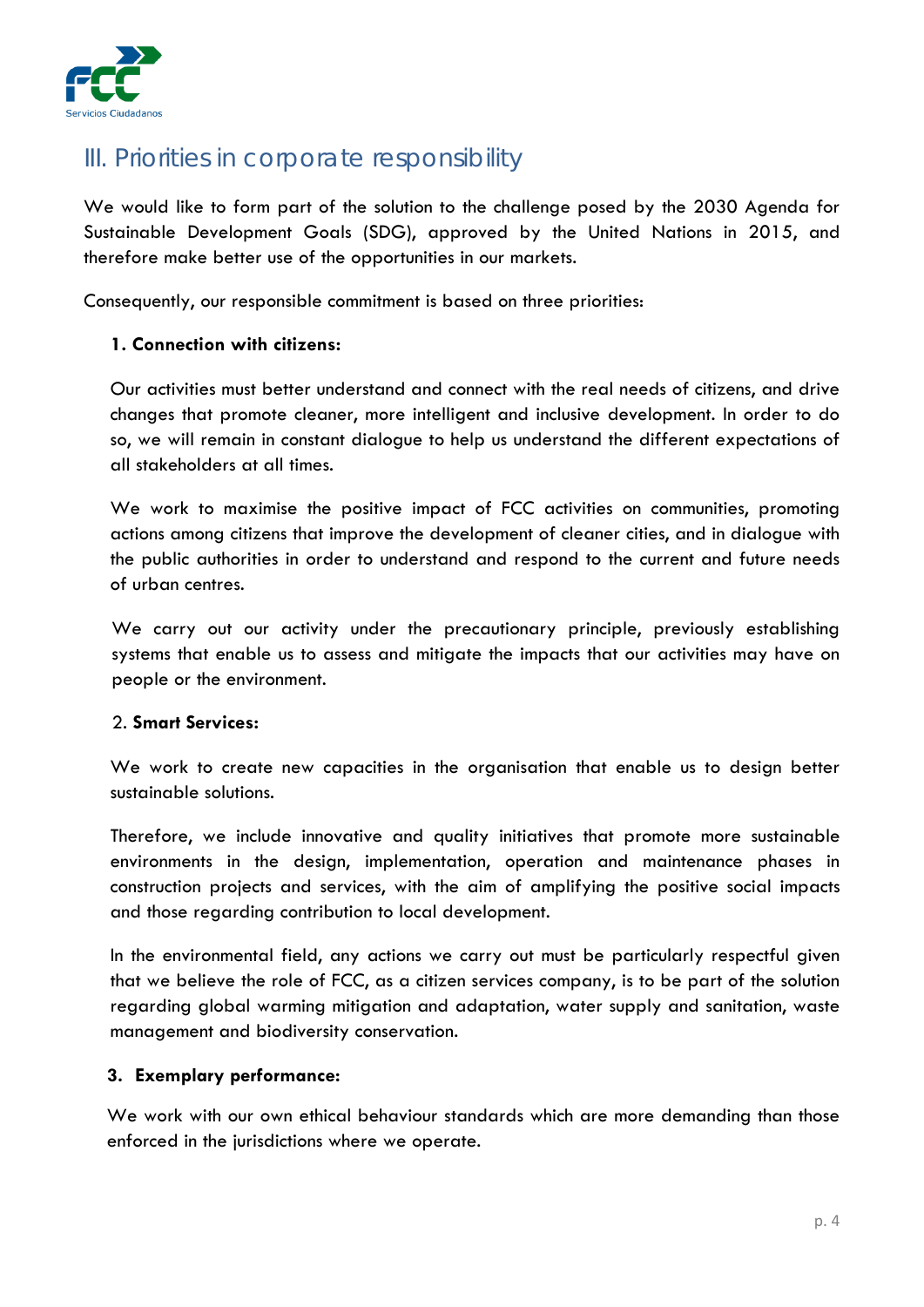

# *III. Priorities in corporate responsibility*

We would like to form part of the solution to the challenge posed by the 2030 Agenda for Sustainable Development Goals (SDG), approved by the United Nations in 2015, and therefore make better use of the opportunities in our markets.

Consequently, our responsible commitment is based on three priorities:

#### **1. Connection with citizens:**

Our activities must better understand and connect with the real needs of citizens, and drive changes that promote cleaner, more intelligent and inclusive development. In order to do so, we will remain in constant dialogue to help us understand the different expectations of all stakeholders at all times.

We work to maximise the positive impact of FCC activities on communities, promoting actions among citizens that improve the development of cleaner cities, and in dialogue with the public authorities in order to understand and respond to the current and future needs of urban centres.

We carry out our activity under the precautionary principle, previously establishing systems that enable us to assess and mitigate the impacts that our activities may have on people or the environment.

#### 2. **Smart Services:**

We work to create new capacities in the organisation that enable us to design better sustainable solutions.

Therefore, we include innovative and quality initiatives that promote more sustainable environments in the design, implementation, operation and maintenance phases in construction projects and services, with the aim of amplifying the positive social impacts and those regarding contribution to local development.

In the environmental field, any actions we carry out must be particularly respectful given that we believe the role of FCC, as a citizen services company, is to be part of the solution regarding global warming mitigation and adaptation, water supply and sanitation, waste management and biodiversity conservation.

#### **3. Exemplary performance:**

We work with our own ethical behaviour standards which are more demanding than those enforced in the jurisdictions where we operate.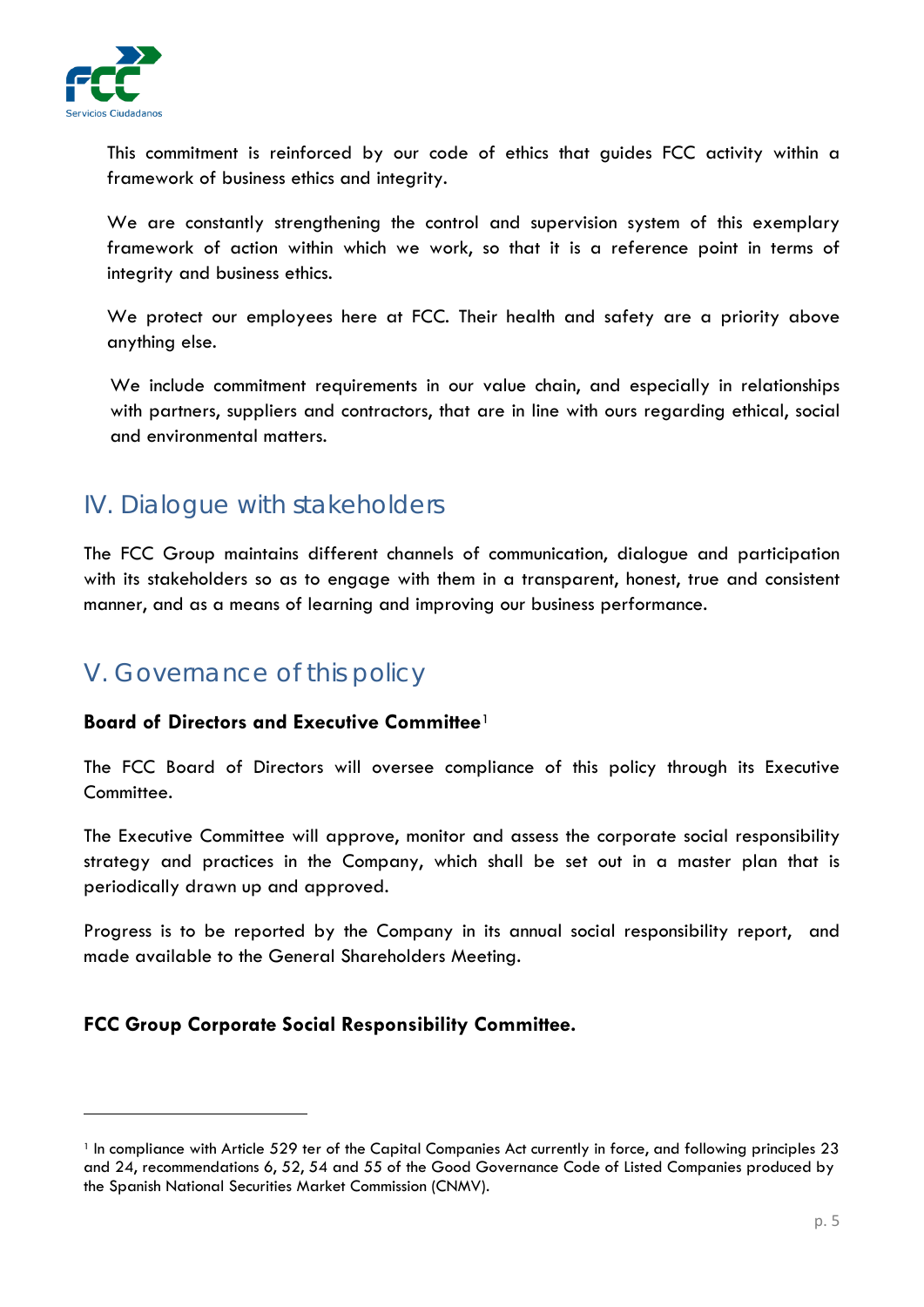

**.** 

This commitment is reinforced by our code of ethics that guides FCC activity within a framework of business ethics and integrity.

We are constantly strengthening the control and supervision system of this exemplary framework of action within which we work, so that it is a reference point in terms of integrity and business ethics.

We protect our employees here at FCC. Their health and safety are a priority above anything else.

We include commitment requirements in our value chain, and especially in relationships with partners, suppliers and contractors, that are in line with ours regarding ethical, social and environmental matters.

# *IV. Dialogue with stakeholders*

The FCC Group maintains different channels of communication, dialogue and participation with its stakeholders so as to engage with them in a transparent, honest, true and consistent manner, and as a means of learning and improving our business performance.

# *V. Governance of this policy*

#### **Board of Directors and Executive Committee**[1](#page-4-0)

The FCC Board of Directors will oversee compliance of this policy through its Executive Committee.

The Executive Committee will approve, monitor and assess the corporate social responsibility strategy and practices in the Company, which shall be set out in a master plan that is periodically drawn up and approved.

Progress is to be reported by the Company in its annual social responsibility report, and made available to the General Shareholders Meeting.

## **FCC Group Corporate Social Responsibility Committee.**

<span id="page-4-0"></span><sup>1</sup> In compliance with Article 529 ter of the Capital Companies Act currently in force, and following principles 23 and 24, recommendations 6, 52, 54 and 55 of the Good Governance Code of Listed Companies produced by the Spanish National Securities Market Commission (CNMV).